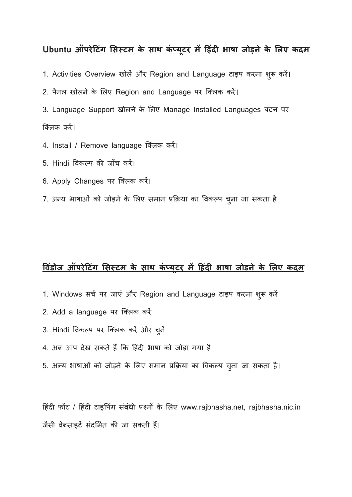## **Ubuntu ऑपरेटटगिं सिस्टम के िाथ किंप्यट ूर मेंट दिं ी भाषा जोड़नेके सिए कदम**

- 1. Activities Overview खोलें और Region and Language टाइप करना शुरू करें।
- 2. पैनल खोलने के ललए Region and Language पर क्ललक करें।
- 3. Language Support खोलने के लिए Manage Installed Languages बटन पर क्ललक करें।
- 4. Install / Remove language क्ललक करें।
- 5. Hindi विकल्प की जााँच करें।
- 6. Apply Changes पर क्ललक करें।
- 7. अन्य भाषाओं को जोड़ने के लिए समान प्रक्रिया का विकल्प चुना जा सकता है

## **व िंडोज ऑपरेटटिंग सिस्टम के िाथ किंप्यट ूर में ट दिं ी भाषा जोड़ने के सिए कदम**

- 1. Windows सर्च पर जाएं और Region and Language टाइप करना शुरू करें
- 2. Add a language पर क्ललक करें
- 3. Hindi विकल्प पर क्लिक करें और चुनें
- 4. अब आप देख सकते हैं कि हिंदी भाषा को जोड़ा गया है
- 5. अन्य भाषाओं को जोड़ने के लिए समान प्रक्रिया का विकल्प चुना जा सकता है।

हिंदी फोंट / हिंदी टाइपिंग संबंधी प्रश्नों के लिए www.rajbhasha.net, rajbhasha.nic.in जैसी वेबसाइटें संदर्भित की जा सकती हैं।